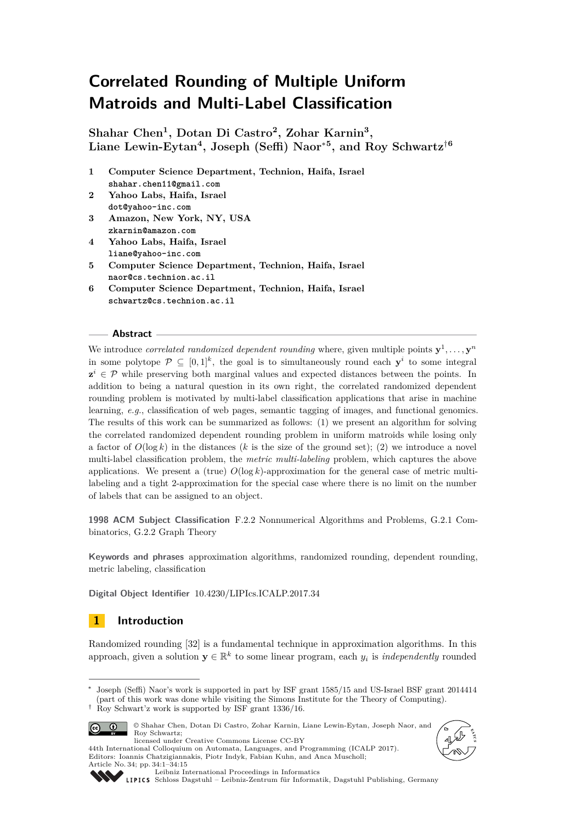# **Correlated Rounding of Multiple Uniform Matroids and Multi-Label Classification**

**Shahar Chen<sup>1</sup> , Dotan Di Castro<sup>2</sup> , Zohar Karnin<sup>3</sup> , Liane Lewin-Eytan<sup>4</sup> , Joseph (Seffi) Naor**<sup>∗</sup>**<sup>5</sup> , and Roy Schwartz**†**<sup>6</sup>**

- **1 Computer Science Department, Technion, Haifa, Israel shahar.chen11@gmail.com**
- **2 Yahoo Labs, Haifa, Israel dot@yahoo-inc.com**
- **3 Amazon, New York, NY, USA zkarnin@amazon.com**
- **4 Yahoo Labs, Haifa, Israel liane@yahoo-inc.com**
- **5 Computer Science Department, Technion, Haifa, Israel naor@cs.technion.ac.il**
- **6 Computer Science Department, Technion, Haifa, Israel schwartz@cs.technion.ac.il**

### **Abstract**

We introduce *correlated randomized dependent rounding* where, given multiple points  $y^1, \ldots, y^n$ in some polytope  $\mathcal{P} \subseteq [0,1]^k$ , the goal is to simultaneously round each  $\mathbf{y}^i$  to some integral  $z^i \in \mathcal{P}$  while preserving both marginal values and expected distances between the points. In addition to being a natural question in its own right, the correlated randomized dependent rounding problem is motivated by multi-label classification applications that arise in machine learning, *e.g.*, classification of web pages, semantic tagging of images, and functional genomics. The results of this work can be summarized as follows: (1) we present an algorithm for solving the correlated randomized dependent rounding problem in uniform matroids while losing only a factor of  $O(\log k)$  in the distances (k is the size of the ground set); (2) we introduce a novel multi-label classification problem, the *metric multi-labeling* problem, which captures the above applications. We present a (true)  $O(\log k)$ -approximation for the general case of metric multilabeling and a tight 2-approximation for the special case where there is no limit on the number of labels that can be assigned to an object.

**1998 ACM Subject Classification** F.2.2 Nonnumerical Algorithms and Problems, G.2.1 Combinatorics, G.2.2 Graph Theory

**Keywords and phrases** approximation algorithms, randomized rounding, dependent rounding, metric labeling, classification

**Digital Object Identifier** [10.4230/LIPIcs.ICALP.2017.34](http://dx.doi.org/10.4230/LIPIcs.ICALP.2017.34)

## **1 Introduction**

Randomized rounding [\[32\]](#page-13-0) is a fundamental technique in approximation algorithms. In this approach, given a solution  $y \in \mathbb{R}^k$  to some linear program, each  $y_i$  is *independently* rounded

Joseph (Seffi) Naor's work is supported in part by ISF grant 1585/15 and US-Israel BSF grant 2014414 (part of this work was done while visiting the Simons Institute for the Theory of Computing). † Roy Schwart'z work is supported by ISF grant 1336/16.





44th International Colloquium on Automata, Languages, and Programming (ICALP 2017). Editors: Ioannis Chatzigiannakis, Piotr Indyk, Fabian Kuhn, and Anca Muscholl;



Article No. 34; pp. 34:1–34[:15](#page-14-0)

[Leibniz International Proceedings in Informatics](http://www.dagstuhl.de/lipics/) [Schloss Dagstuhl – Leibniz-Zentrum für Informatik, Dagstuhl Publishing, Germany](http://www.dagstuhl.de)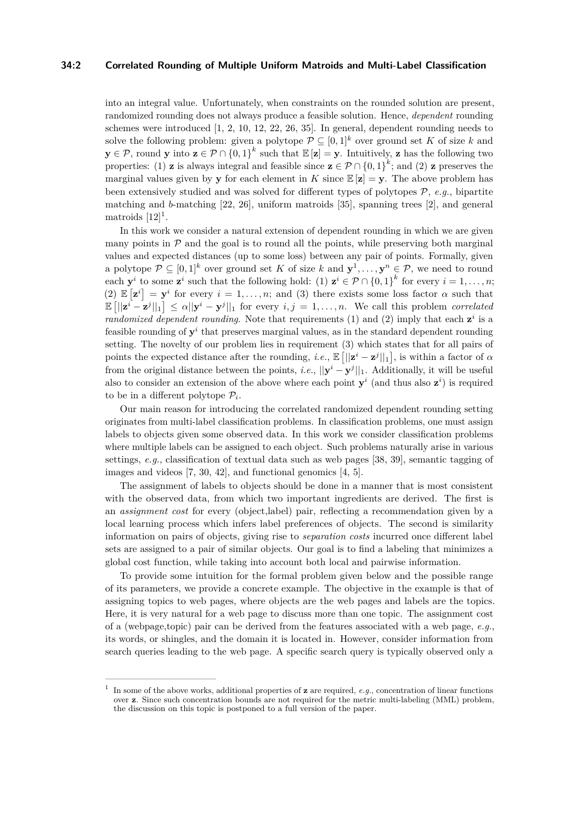### **34:2 Correlated Rounding of Multiple Uniform Matroids and Multi-Label Classification**

into an integral value. Unfortunately, when constraints on the rounded solution are present, randomized rounding does not always produce a feasible solution. Hence, *dependent* rounding schemes were introduced [\[1,](#page-12-0) [2,](#page-12-1) [10,](#page-12-2) [12,](#page-12-3) [22,](#page-13-1) [26,](#page-13-2) [35\]](#page-13-3). In general, dependent rounding needs to solve the following problem: given a polytope  $\mathcal{P} \subseteq [0,1]^k$  over ground set K of size k and **y** ∈ P, round **y** into **z** ∈ P ∩ {0, 1}<sup>k</sup> such that  $\mathbb{E}[z] = y$ . Intuitively, **z** has the following two properties: (1) **z** is always integral and feasible since  $\mathbf{z} \in \mathcal{P} \cap \{0,1\}^k$ ; and (2) **z** preserves the marginal values given by **y** for each element in *K* since  $\mathbb{E}[z] = y$ . The above problem has been extensively studied and was solved for different types of polytopes  $P$ , *e.g.*, bipartite matching and *b*-matching [\[22,](#page-13-1) [26\]](#page-13-2), uniform matroids [\[35\]](#page-13-3), spanning trees [\[2\]](#page-12-1), and general matroids  $[12]$ <sup>[1](#page-1-0)</sup>.

In this work we consider a natural extension of dependent rounding in which we are given many points in  $P$  and the goal is to round all the points, while preserving both marginal values and expected distances (up to some loss) between any pair of points. Formally, given a polytope  $\mathcal{P} \subseteq [0,1]^k$  over ground set K of size k and  $\mathbf{y}^1, \ldots, \mathbf{y}^n \in \mathcal{P}$ , we need to round each  $\mathbf{y}^i$  to some  $\mathbf{z}^i$  such that the following hold: (1)  $\mathbf{z}^i \in \mathcal{P} \cap \{0,1\}^k$  for every  $i = 1, \ldots, n$ ; (2)  $\mathbb{E}[\mathbf{z}^i] = \mathbf{y}^i$  for every  $i = 1, \ldots, n$ ; and (3) there exists some loss factor  $\alpha$  such that  $\mathbb{E} \left[ ||\mathbf{z}^i - \mathbf{z}^j||_1 \right] \leq \alpha ||\mathbf{y}^i - \mathbf{y}^j||_1$  for every  $i, j = 1, \ldots, n$ . We call this problem *correlated randomized dependent rounding*. Note that requirements (1) and (2) imply that each  $z^i$  is a feasible rounding of  $y^i$  that preserves marginal values, as in the standard dependent rounding setting. The novelty of our problem lies in requirement (3) which states that for all pairs of points the expected distance after the rounding, *i.e.*,  $\mathbb{E} \left[ ||\mathbf{z}^i - \mathbf{z}^j||_1 \right]$ , is within a factor of  $\alpha$ from the original distance between the points, *i.e.*,  $||\mathbf{y}^i - \mathbf{y}^j||_1$ . Additionally, it will be useful also to consider an extension of the above where each point  $y^i$  (and thus also  $z^i$ ) is required to be in a different polytope  $P_i$ .

Our main reason for introducing the correlated randomized dependent rounding setting originates from multi-label classification problems. In classification problems, one must assign labels to objects given some observed data. In this work we consider classification problems where multiple labels can be assigned to each object. Such problems naturally arise in various settings, *e.g.*, classification of textual data such as web pages [\[38,](#page-14-1) [39\]](#page-14-2), semantic tagging of images and videos [\[7,](#page-12-4) [30,](#page-13-4) [42\]](#page-14-3), and functional genomics [\[4,](#page-12-5) [5\]](#page-12-6).

The assignment of labels to objects should be done in a manner that is most consistent with the observed data, from which two important ingredients are derived. The first is an *assignment cost* for every (object,label) pair, reflecting a recommendation given by a local learning process which infers label preferences of objects. The second is similarity information on pairs of objects, giving rise to *separation costs* incurred once different label sets are assigned to a pair of similar objects. Our goal is to find a labeling that minimizes a global cost function, while taking into account both local and pairwise information.

To provide some intuition for the formal problem given below and the possible range of its parameters, we provide a concrete example. The objective in the example is that of assigning topics to web pages, where objects are the web pages and labels are the topics. Here, it is very natural for a web page to discuss more than one topic. The assignment cost of a (webpage,topic) pair can be derived from the features associated with a web page, *e.g.*, its words, or shingles, and the domain it is located in. However, consider information from search queries leading to the web page. A specific search query is typically observed only a

<span id="page-1-0"></span><sup>1</sup> In some of the above works, additional properties of **z** are required, *e.g.*, concentration of linear functions over **z**. Since such concentration bounds are not required for the metric multi-labeling (MML) problem, the discussion on this topic is postponed to a full version of the paper.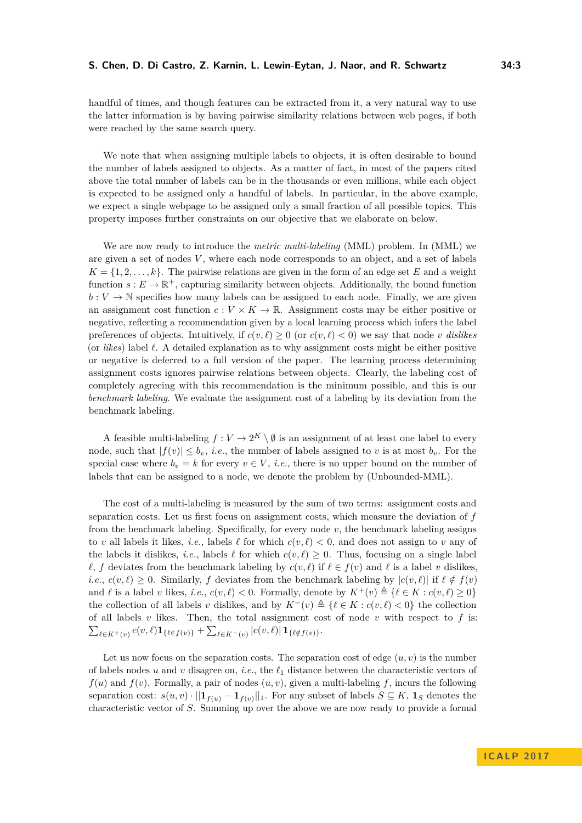handful of times, and though features can be extracted from it, a very natural way to use the latter information is by having pairwise similarity relations between web pages, if both were reached by the same search query.

We note that when assigning multiple labels to objects, it is often desirable to bound the number of labels assigned to objects. As a matter of fact, in most of the papers cited above the total number of labels can be in the thousands or even millions, while each object is expected to be assigned only a handful of labels. In particular, in the above example, we expect a single webpage to be assigned only a small fraction of all possible topics. This property imposes further constraints on our objective that we elaborate on below.

We are now ready to introduce the *metric multi-labeling* (MML) problem. In (MML) we are given a set of nodes *V* , where each node corresponds to an object, and a set of labels  $K = \{1, 2, \ldots, k\}$ . The pairwise relations are given in the form of an edge set *E* and a weight function  $s: E \to \mathbb{R}^+$ , capturing similarity between objects. Additionally, the bound function  $b: V \to \mathbb{N}$  specifies how many labels can be assigned to each node. Finally, we are given an assignment cost function  $c: V \times K \to \mathbb{R}$ . Assignment costs may be either positive or negative, reflecting a recommendation given by a local learning process which infers the label preferences of objects. Intuitively, if  $c(v, \ell) \geq 0$  (or  $c(v, \ell) < 0$ ) we say that node *v* dislikes (or *likes*) label  $\ell$ . A detailed explanation as to why assignment costs might be either positive or negative is deferred to a full version of the paper. The learning process determining assignment costs ignores pairwise relations between objects. Clearly, the labeling cost of completely agreeing with this recommendation is the minimum possible, and this is our *benchmark labeling*. We evaluate the assignment cost of a labeling by its deviation from the benchmark labeling.

A feasible multi-labeling  $f: V \to 2^K \setminus \emptyset$  is an assignment of at least one label to every node, such that  $|f(v)| \leq b_v$ , *i.e.*, the number of labels assigned to *v* is at most  $b_v$ . For the special case where  $b_v = k$  for every  $v \in V$ , *i.e.*, there is no upper bound on the number of labels that can be assigned to a node, we denote the problem by (Unbounded-MML).

The cost of a multi-labeling is measured by the sum of two terms: assignment costs and separation costs. Let us first focus on assignment costs, which measure the deviation of *f* from the benchmark labeling. Specifically, for every node *v*, the benchmark labeling assigns to *v* all labels it likes, *i.e.*, labels  $\ell$  for which  $c(v, \ell) < 0$ , and does not assign to *v* any of the labels it dislikes, *i.e.*, labels  $\ell$  for which  $c(v, \ell) \geq 0$ . Thus, focusing on a single label  $\ell$ , *f* deviates from the benchmark labeling by  $c(v, \ell)$  if  $\ell \in f(v)$  and  $\ell$  is a label *v* dislikes, *i.e.*,  $c(v, \ell) \geq 0$ . Similarly, *f* deviates from the benchmark labeling by  $|c(v, \ell)|$  if  $\ell \notin f(v)$ and  $\ell$  is a label *v* likes, *i.e.*,  $c(v, \ell) < 0$ . Formally, denote by  $K^+(v) \triangleq {\ell \in K : c(v, \ell) \geq 0}$ the collection of all labels *v* dislikes, and by  $K^{-}(v) \triangleq \{ \ell \in K : c(v, \ell) < 0 \}$  the collection of all labels  $v$  likes. Then, the total assignment cost of node  $v$  with respect to  $f$  is:  $\sum_{\ell \in K^+(v)} c(v, \ell) \mathbf{1}_{\{\ell \in f(v)\}} + \sum_{\ell \in K^-(v)} |c(v, \ell)| \mathbf{1}_{\{\ell \notin f(v)\}}.$ 

Let us now focus on the separation costs. The separation cost of edge  $(u, v)$  is the number of labels nodes *u* and *v* disagree on, *i.e.*, the  $\ell_1$  distance between the characteristic vectors of  $f(u)$  and  $f(v)$ . Formally, a pair of nodes  $(u, v)$ , given a multi-labeling f, incurs the following separation cost:  $s(u, v) \cdot ||\mathbf{1}_{f(u)} - \mathbf{1}_{f(v)}||_1$ . For any subset of labels  $S \subseteq K$ ,  $\mathbf{1}_S$  denotes the characteristic vector of *S*. Summing up over the above we are now ready to provide a formal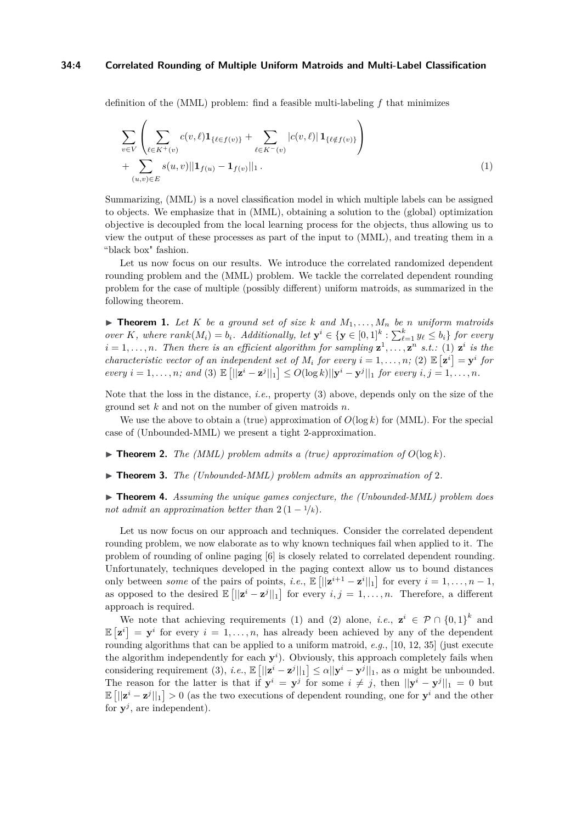#### **34:4 Correlated Rounding of Multiple Uniform Matroids and Multi-Label Classification**

definition of the (MML) problem: find a feasible multi-labeling *f* that minimizes

<span id="page-3-0"></span>
$$
\sum_{v \in V} \left( \sum_{\ell \in K^+(v)} c(v,\ell) \mathbf{1}_{\{\ell \in f(v)\}} + \sum_{\ell \in K^-(v)} |c(v,\ell)| \mathbf{1}_{\{\ell \notin f(v)\}} \right) + \sum_{(u,v) \in E} s(u,v) ||\mathbf{1}_{f(u)} - \mathbf{1}_{f(v)}||_1.
$$
\n(1)

Summarizing, (MML) is a novel classification model in which multiple labels can be assigned to objects. We emphasize that in (MML), obtaining a solution to the (global) optimization objective is decoupled from the local learning process for the objects, thus allowing us to view the output of these processes as part of the input to (MML), and treating them in a "black box" fashion.

Let us now focus on our results. We introduce the correlated randomized dependent rounding problem and the (MML) problem. We tackle the correlated dependent rounding problem for the case of multiple (possibly different) uniform matroids, as summarized in the following theorem.

<span id="page-3-1"></span> $\triangleright$  **Theorem 1.** Let K be a ground set of size k and  $M_1, \ldots, M_n$  be n uniform matroids over K, where  $rank(M_i) = b_i$ . Additionally, let  $\mathbf{y}^i \in {\{\mathbf{y} \in [0,1]^k : \sum_{\ell=1}^k y_\ell \leq b_i\}}$  for every  $i = 1, \ldots, n$ . Then there is an efficient algorithm for sampling  $\mathbf{z}^1, \ldots, \mathbf{z}^n$  s.t.: (1)  $\mathbf{z}^i$  is the *characteristic vector of an independent set of*  $M_i$  *for every*  $i = 1, \ldots, n$ *; (2)*  $\mathbb{E}[\mathbf{z}^i] = \mathbf{y}^i$  for every  $i = 1, ..., n$ ; and (3)  $\mathbb{E}\left[\left|\left|\mathbf{z}^{i} - \mathbf{z}^{j}\right|\right|_{1}\right] \leq O(\log k) \|\mathbf{y}^{i} - \mathbf{y}^{j}\|_{1}$  for every  $i, j = 1, ..., n$ .

Note that the loss in the distance, *i.e.*, property (3) above, depends only on the size of the ground set *k* and not on the number of given matroids *n*.

We use the above to obtain a (true) approximation of  $O(\log k)$  for (MML). For the special case of (Unbounded-MML) we present a tight 2-approximation.

<span id="page-3-2"></span> $\triangleright$  **Theorem 2.** *The (MML) problem admits a (true) approximation of*  $O(\log k)$ *.* 

<span id="page-3-3"></span> $\triangleright$  **Theorem 3.** *The (Unbounded-MML) problem admits an approximation of* 2.

<span id="page-3-4"></span>▶ **Theorem 4.** *Assuming the unique games conjecture, the (Unbounded-MML) problem does not admit an approximation better than*  $2(1 - \frac{1}{k})$ .

Let us now focus on our approach and techniques. Consider the correlated dependent rounding problem, we now elaborate as to why known techniques fail when applied to it. The problem of rounding of online paging [\[6\]](#page-12-7) is closely related to correlated dependent rounding. Unfortunately, techniques developed in the paging context allow us to bound distances only between *some* of the pairs of points, *i.e.*,  $\mathbb{E} \left[ ||\mathbf{z}^{i+1} - \mathbf{z}^i||_1 \right]$  for every  $i = 1, ..., n - 1$ , as opposed to the desired  $\mathbb{E} \left[ ||\mathbf{z}^i - \mathbf{z}^j||_1 \right]$  for every  $i, j = 1, ..., n$ . Therefore, a different approach is required.

We note that achieving requirements (1) and (2) alone, *i.e.*,  $\mathbf{z}^i \in \mathcal{P} \cap \{0,1\}^k$  and  $\mathbb{E}[\mathbf{z}^i] = \mathbf{y}^i$  for every  $i = 1, \ldots, n$ , has already been achieved by any of the dependent rounding algorithms that can be applied to a uniform matroid, *e.g.*, [\[10,](#page-12-2) [12,](#page-12-3) [35\]](#page-13-3) (just execute the algorithm independently for each  $y^i$ ). Obviously, this approach completely fails when considering requirement (3), *i.e.*,  $\mathbb{E} \left[ ||\mathbf{z}^i - \mathbf{z}^j||_1 \right] \leq \alpha ||\mathbf{y}^i - \mathbf{y}^j||_1$ , as  $\alpha$  might be unbounded. The reason for the latter is that if  $y^i = y^j$  for some  $i \neq j$ , then  $||y^i - y^j||_1 = 0$  but  $\mathbb{E} \left[ ||\mathbf{z}^i - \mathbf{z}^j||_1 \right] > 0$  (as the two executions of dependent rounding, one for  $\mathbf{y}^i$  and the other for  $y^j$ , are independent).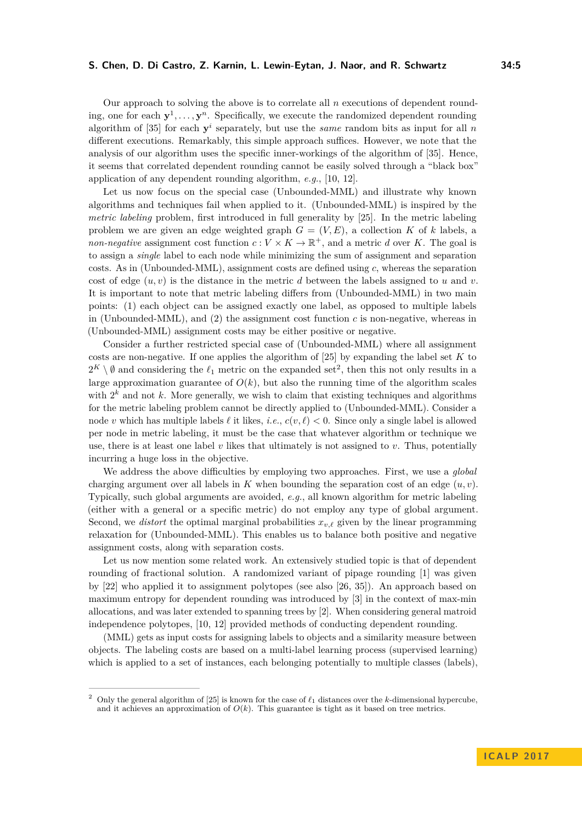Our approach to solving the above is to correlate all *n* executions of dependent rounding, one for each  $y^1, \ldots, y^n$ . Specifically, we execute the randomized dependent rounding algorithm of  $[35]$  for each  $y^i$  separately, but use the *same* random bits as input for all *n* different executions. Remarkably, this simple approach suffices. However, we note that the analysis of our algorithm uses the specific inner-workings of the algorithm of [\[35\]](#page-13-3). Hence, it seems that correlated dependent rounding cannot be easily solved through a "black box" application of any dependent rounding algorithm, *e.g.*, [\[10,](#page-12-2) [12\]](#page-12-3).

Let us now focus on the special case (Unbounded-MML) and illustrate why known algorithms and techniques fail when applied to it. (Unbounded-MML) is inspired by the *metric labeling* problem, first introduced in full generality by [\[25\]](#page-13-5). In the metric labeling problem we are given an edge weighted graph  $G = (V, E)$ , a collection K of k labels, a *non-negative* assignment cost function  $c: V \times K \to \mathbb{R}^+$ , and a metric *d* over *K*. The goal is to assign a *single* label to each node while minimizing the sum of assignment and separation costs. As in (Unbounded-MML), assignment costs are defined using *c*, whereas the separation cost of edge  $(u, v)$  is the distance in the metric *d* between the labels assigned to *u* and *v*. It is important to note that metric labeling differs from (Unbounded-MML) in two main points: (1) each object can be assigned exactly one label, as opposed to multiple labels in (Unbounded-MML), and  $(2)$  the assignment cost function  $c$  is non-negative, whereas in (Unbounded-MML) assignment costs may be either positive or negative.

Consider a further restricted special case of (Unbounded-MML) where all assignment costs are non-negative. If one applies the algorithm of [\[25\]](#page-13-5) by expanding the label set *K* to  $2^K \setminus \emptyset$  $2^K \setminus \emptyset$  and considering the  $\ell_1$  metric on the expanded set<sup>2</sup>, then this not only results in a large approximation guarantee of  $O(k)$ , but also the running time of the algorithm scales with  $2^k$  and not  $k$ . More generally, we wish to claim that existing techniques and algorithms for the metric labeling problem cannot be directly applied to (Unbounded-MML). Consider a node *v* which has multiple labels  $\ell$  it likes, *i.e.*,  $c(v, \ell) < 0$ . Since only a single label is allowed per node in metric labeling, it must be the case that whatever algorithm or technique we use, there is at least one label *v* likes that ultimately is not assigned to *v*. Thus, potentially incurring a huge loss in the objective.

We address the above difficulties by employing two approaches. First, we use a *global* charging argument over all labels in  $K$  when bounding the separation cost of an edge  $(u, v)$ . Typically, such global arguments are avoided, *e.g.*, all known algorithm for metric labeling (either with a general or a specific metric) do not employ any type of global argument. Second, we *distort* the optimal marginal probabilities  $x_{v,\ell}$  given by the linear programming relaxation for (Unbounded-MML). This enables us to balance both positive and negative assignment costs, along with separation costs.

Let us now mention some related work. An extensively studied topic is that of dependent rounding of fractional solution. A randomized variant of pipage rounding [\[1\]](#page-12-0) was given by [\[22\]](#page-13-1) who applied it to assignment polytopes (see also [\[26,](#page-13-2) [35\]](#page-13-3)). An approach based on maximum entropy for dependent rounding was introduced by [\[3\]](#page-12-8) in the context of max-min allocations, and was later extended to spanning trees by [\[2\]](#page-12-1). When considering general matroid independence polytopes, [\[10,](#page-12-2) [12\]](#page-12-3) provided methods of conducting dependent rounding.

(MML) gets as input costs for assigning labels to objects and a similarity measure between objects. The labeling costs are based on a multi-label learning process (supervised learning) which is applied to a set of instances, each belonging potentially to multiple classes (labels),

<span id="page-4-0"></span>Only the general algorithm of [\[25\]](#page-13-5) is known for the case of  $\ell_1$  distances over the *k*-dimensional hypercube, and it achieves an approximation of  $O(k)$ . This guarantee is tight as it based on tree metrics.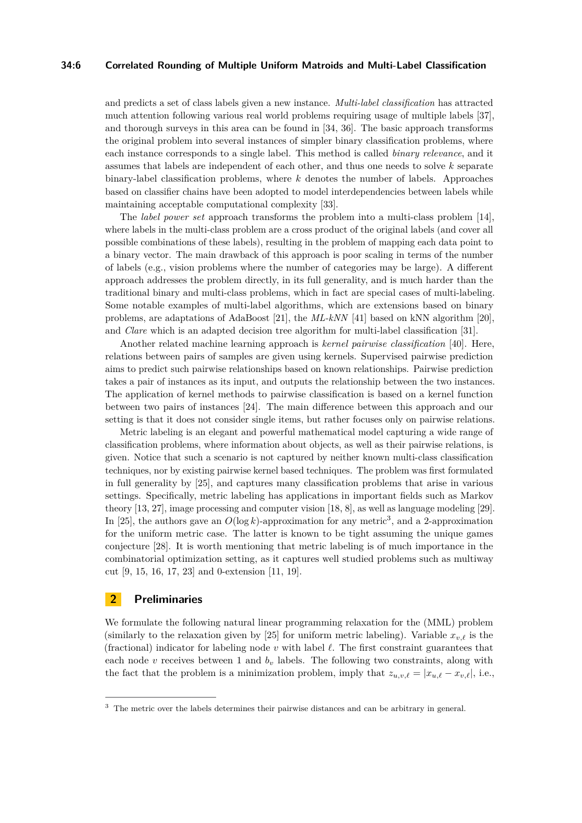### **34:6 Correlated Rounding of Multiple Uniform Matroids and Multi-Label Classification**

and predicts a set of class labels given a new instance. *Multi-label classification* has attracted much attention following various real world problems requiring usage of multiple labels [\[37\]](#page-13-6), and thorough surveys in this area can be found in [\[34,](#page-13-7) [36\]](#page-13-8). The basic approach transforms the original problem into several instances of simpler binary classification problems, where each instance corresponds to a single label. This method is called *binary relevance*, and it assumes that labels are independent of each other, and thus one needs to solve *k* separate binary-label classification problems, where *k* denotes the number of labels. Approaches based on classifier chains have been adopted to model interdependencies between labels while maintaining acceptable computational complexity [\[33\]](#page-13-9).

The *label power set* approach transforms the problem into a multi-class problem [\[14\]](#page-12-9), where labels in the multi-class problem are a cross product of the original labels (and cover all possible combinations of these labels), resulting in the problem of mapping each data point to a binary vector. The main drawback of this approach is poor scaling in terms of the number of labels (e.g., vision problems where the number of categories may be large). A different approach addresses the problem directly, in its full generality, and is much harder than the traditional binary and multi-class problems, which in fact are special cases of multi-labeling. Some notable examples of multi-label algorithms, which are extensions based on binary problems, are adaptations of AdaBoost [\[21\]](#page-13-10), the *ML-kNN* [\[41\]](#page-14-4) based on kNN algorithm [\[20\]](#page-13-11), and *Clare* which is an adapted decision tree algorithm for multi-label classification [\[31\]](#page-13-12).

Another related machine learning approach is *kernel pairwise classification* [\[40\]](#page-14-5). Here, relations between pairs of samples are given using kernels. Supervised pairwise prediction aims to predict such pairwise relationships based on known relationships. Pairwise prediction takes a pair of instances as its input, and outputs the relationship between the two instances. The application of kernel methods to pairwise classification is based on a kernel function between two pairs of instances [\[24\]](#page-13-13). The main difference between this approach and our setting is that it does not consider single items, but rather focuses only on pairwise relations.

Metric labeling is an elegant and powerful mathematical model capturing a wide range of classification problems, where information about objects, as well as their pairwise relations, is given. Notice that such a scenario is not captured by neither known multi-class classification techniques, nor by existing pairwise kernel based techniques. The problem was first formulated in full generality by [\[25\]](#page-13-5), and captures many classification problems that arise in various settings. Specifically, metric labeling has applications in important fields such as Markov theory [\[13,](#page-12-10) [27\]](#page-13-14), image processing and computer vision [\[18,](#page-13-15) [8\]](#page-12-11), as well as language modeling [\[29\]](#page-13-16). In [\[25\]](#page-13-5), the authors gave an  $O(\log k)$ -approximation for any metric<sup>[3](#page-5-0)</sup>, and a 2-approximation for the uniform metric case. The latter is known to be tight assuming the unique games conjecture [\[28\]](#page-13-17). It is worth mentioning that metric labeling is of much importance in the combinatorial optimization setting, as it captures well studied problems such as multiway cut [\[9,](#page-12-12) [15,](#page-12-13) [16,](#page-12-14) [17,](#page-13-18) [23\]](#page-13-19) and 0-extension [\[11,](#page-12-15) [19\]](#page-13-20).

### **2 Preliminaries**

We formulate the following natural linear programming relaxation for the (MML) problem (similarly to the relaxation given by [\[25\]](#page-13-5) for uniform metric labeling). Variable  $x_{v,\ell}$  is the (fractional) indicator for labeling node  $v$  with label  $\ell$ . The first constraint guarantees that each node  $v$  receives between 1 and  $b<sub>v</sub>$  labels. The following two constraints, along with the fact that the problem is a minimization problem, imply that  $z_{u,v,\ell} = |x_{u,\ell} - x_{v,\ell}|$ , i.e.,

<span id="page-5-0"></span><sup>&</sup>lt;sup>3</sup> The metric over the labels determines their pairwise distances and can be arbitrary in general.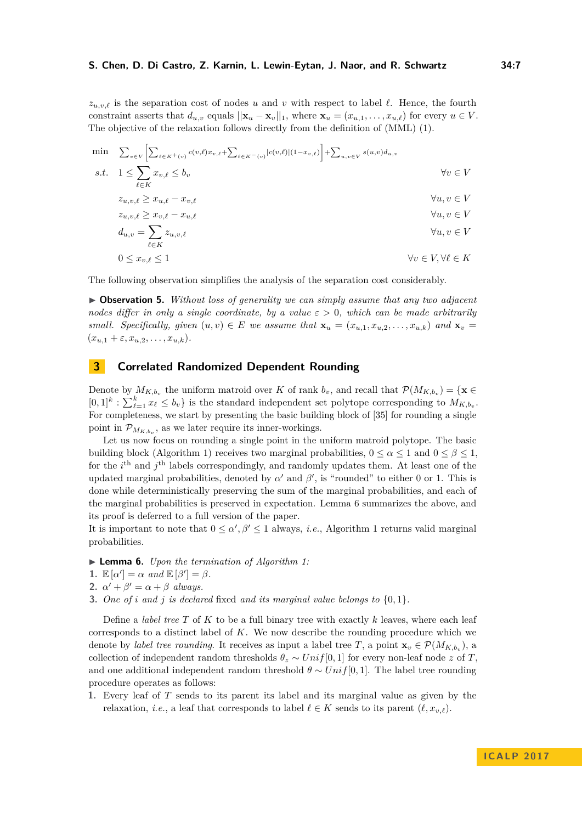$z_{u,v,\ell}$  is the separation cost of nodes *u* and *v* with respect to label  $\ell$ . Hence, the fourth constraint asserts that  $d_{u,v}$  equals  $||\mathbf{x}_u - \mathbf{x}_v||_1$ , where  $\mathbf{x}_u = (x_{u,1}, \ldots, x_{u,\ell})$  for every  $u \in V$ . The objective of the relaxation follows directly from the definition of (MML) [\(1\)](#page-3-0).

$$
\min \sum_{v \in V} \left[ \sum_{\ell \in K} x_{v,\ell} \le b_v \right]
$$
\n
$$
s.t. \quad 1 \le \sum_{\ell \in K} x_{v,\ell} \le b_v
$$
\n
$$
z_{u,v,\ell} \ge x_{u,\ell} - x_{v,\ell}
$$
\n
$$
z_{u,v,\ell} \ge x_{v,\ell} - x_{u,\ell}
$$
\n
$$
d_{u,v} = \sum_{\ell \in K} z_{u,v,\ell}
$$
\n
$$
0 \le x_{v,\ell} \le 1
$$
\n
$$
v \in V
$$
\n
$$
v \in V
$$
\n
$$
d_{v,v} = \sum_{\ell \in K} z_{u,v,\ell}
$$
\n
$$
v \in V
$$
\n
$$
d_{v,v} = \sum_{\ell \in K} z_{u,v,\ell}
$$
\n
$$
v \in V, \forall \ell \in K
$$

The following observation simplifies the analysis of the separation cost considerably.

<span id="page-6-1"></span>I **Observation 5.** *Without loss of generality we can simply assume that any two adjacent nodes differ in only a single coordinate, by a value ε >* 0*, which can be made arbitrarily small. Specifically, given*  $(u, v) \in E$  *we assume that*  $\mathbf{x}_u = (x_{u,1}, x_{u,2}, \dots, x_{u,k})$  and  $\mathbf{x}_v =$  $(x_{u,1} + \varepsilon, x_{u,2}, \ldots, x_{u,k}).$ 

### **3 Correlated Randomized Dependent Rounding**

Denote by  $M_{K,b_v}$  the uniform matroid over *K* of rank  $b_v$ , and recall that  $\mathcal{P}(M_{K,b_v}) = \{ \mathbf{x} \in$  $[0,1]^k$ :  $\sum_{\ell=1}^k x_\ell \leq b_v$  is the standard independent set polytope corresponding to  $M_{K,b_v}$ . For completeness, we start by presenting the basic building block of [\[35\]](#page-13-3) for rounding a single point in  $\mathcal{P}_{M_{K,b_v}}$ , as we later require its inner-workings.

Let us now focus on rounding a single point in the uniform matroid polytope. The basic building block (Algorithm [1\)](#page-7-0) receives two marginal probabilities,  $0 \le \alpha \le 1$  and  $0 \le \beta \le 1$ , for the *i*<sup>th</sup> and *j*<sup>th</sup> labels correspondingly, and randomly updates them. At least one of the updated marginal probabilities, denoted by  $\alpha'$  and  $\beta'$ , is "rounded" to either 0 or 1. This is done while deterministically preserving the sum of the marginal probabilities, and each of the marginal probabilities is preserved in expectation. Lemma [6](#page-6-0) summarizes the above, and its proof is deferred to a full version of the paper.

It is important to note that  $0 \leq \alpha', \beta' \leq 1$  $0 \leq \alpha', \beta' \leq 1$  always, *i.e.*, Algorithm 1 returns valid marginal probabilities.

<span id="page-6-0"></span>▶ **Lemma 6.** *Upon the termination of Algorithm [1:](#page-7-0)* 

- **1.**  $\mathbb{E}[\alpha'] = \alpha$  *and*  $\mathbb{E}[\beta'] = \beta$ *.*
- **2.**  $\alpha' + \beta' = \alpha + \beta$  *always.*
- **3.** *One of i and j is declared* fixed *and its marginal value belongs to* {0*,* 1}*.*

Define a *label tree T* of *K* to be a full binary tree with exactly *k* leaves, where each leaf corresponds to a distinct label of *K*. We now describe the rounding procedure which we denote by *label tree rounding*. It receives as input a label tree *T*, a point  $\mathbf{x}_v \in \mathcal{P}(M_{K,b_v})$ , a collection of independent random thresholds  $\theta_z \sim Unif[0,1]$  for every non-leaf node *z* of *T*, and one additional independent random threshold  $\theta \sim Unif[0,1]$ . The label tree rounding procedure operates as follows:

**1.** Every leaf of *T* sends to its parent its label and its marginal value as given by the relaxation, *i.e.*, a leaf that corresponds to label  $\ell \in K$  sends to its parent  $(\ell, x_{v,\ell})$ .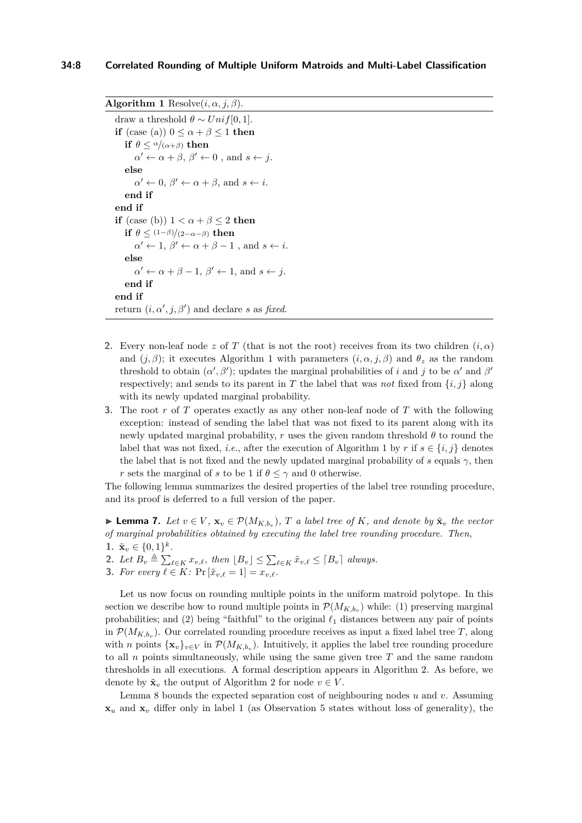**Algorithm 1** Resolve $(i, \alpha, j, \beta)$ .

```
draw a threshold \theta \sim Unif[0, 1].
if (case (a)) 0 \leq \alpha + \beta \leq 1 then
    if \theta \leq \alpha/(\alpha+\beta) then
        \alpha' \leftarrow \alpha + \beta, \beta' \leftarrow 0, and s \leftarrow j.
    else
        \alpha' \leftarrow 0, \ \beta' \leftarrow \alpha + \beta, \text{ and } s \leftarrow i.end if
end if
if (case (b)) 1 < \alpha + \beta < 2 then
    if \theta \leq (1-\beta)/(2-\alpha-\beta) then
        \alpha' \leftarrow 1, \beta' \leftarrow \alpha + \beta - 1, and s \leftarrow i.
    else
        \alpha' \leftarrow \alpha + \beta - 1, \ \beta' \leftarrow 1, \text{ and } s \leftarrow j.end if
end if
return (i, \alpha', j, \beta') and declare s as fixed.
```
- <span id="page-7-0"></span>**2.** Every non-leaf node *z* of *T* (that is not the root) receives from its two children  $(i, \alpha)$ and  $(i, \beta)$ ; it executes Algorithm [1](#page-7-0) with parameters  $(i, \alpha, i, \beta)$  and  $\theta_z$  as the random threshold to obtain  $(\alpha', \beta')$ ; updates the marginal probabilities of *i* and *j* to be  $\alpha'$  and  $\beta'$ respectively; and sends to its parent in *T* the label that was *not* fixed from  $\{i, j\}$  along with its newly updated marginal probability.
- **3.** The root *r* of *T* operates exactly as any other non-leaf node of *T* with the following exception: instead of sending the label that was not fixed to its parent along with its newly updated marginal probability,  $r$  uses the given random threshold  $\theta$  to round the label that was not fixed, *i.e.*, after the execution of Algorithm [1](#page-7-0) by *r* if  $s \in \{i, j\}$  denotes the label that is not fixed and the newly updated marginal probability of *s* equals  $\gamma$ , then *r* sets the marginal of *s* to be 1 if  $\theta \leq \gamma$  and 0 otherwise.

The following lemma summarizes the desired properties of the label tree rounding procedure, and its proof is deferred to a full version of the paper.

<span id="page-7-1"></span>► **Lemma 7.** *Let*  $v \in V$ ,  $\mathbf{x}_v \in \mathcal{P}(M_{K,b_v})$ ,  $T$  *a label tree of*  $K$ *, and denote by*  $\tilde{\mathbf{x}}_v$  *the vector of marginal probabilities obtained by executing the label tree rounding procedure. Then,*

- 1.  $\tilde{\mathbf{x}}_v \in \{0,1\}^k$ .
- <span id="page-7-3"></span>2. Let  $B_v \triangleq \sum_{\ell \in K} x_{v,\ell}$ , then  $[B_v] \leq \sum_{\ell \in K} \tilde{x}_{v,\ell} \leq [B_v]$  always.
- <span id="page-7-2"></span>**3.** *For every*  $\ell \in K$ :  $\Pr[\tilde{x}_{v,\ell} = 1] = x_{v,\ell}$ .

Let us now focus on rounding multiple points in the uniform matroid polytope. In this section we describe how to round multiple points in  $\mathcal{P}(M_{K,b_v})$  while: (1) preserving marginal probabilities; and (2) being "faithful" to the original  $\ell_1$  distances between any pair of points in  $\mathcal{P}(M_{K,b_v})$ . Our correlated rounding procedure receives as input a fixed label tree *T*, along with *n* points  $\{x_v\}_{v\in V}$  in  $\mathcal{P}(M_{K,b_v})$ . Intuitively, it applies the label tree rounding procedure to all *n* points simultaneously, while using the same given tree *T* and the same random thresholds in all executions. A formal description appears in Algorithm [2.](#page-8-0) As before, we denote by  $\tilde{\mathbf{x}}_v$  the output of Algorithm [2](#page-8-0) for node  $v \in V$ .

Lemma [8](#page-8-1) bounds the expected separation cost of neighbouring nodes *u* and *v*. Assuming **x***<sup>u</sup>* and **x***<sup>v</sup>* differ only in label 1 (as Observation [5](#page-6-1) states without loss of generality), the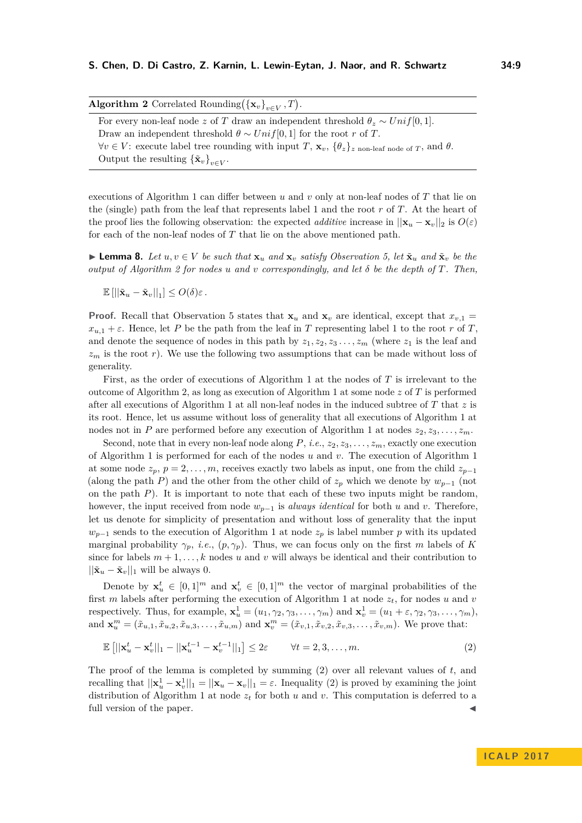<span id="page-8-0"></span>

| <b>Algorithm 2</b> Correlated Rounding( $\{\mathbf{x}_v\}_{v \in V}, T$ ).                                                         |
|------------------------------------------------------------------------------------------------------------------------------------|
| For every non-leaf node z of T draw an independent threshold $\theta_z \sim Unif[0,1]$ .                                           |
| Draw an independent threshold $\theta \sim Unif[0,1]$ for the root r of T.                                                         |
| $\forall v \in V$ : execute label tree rounding with input T, $\mathbf{x}_v$ , $\{\theta_z\}_z$ non-leaf node of T, and $\theta$ . |
| Output the resulting $\{\tilde{\mathbf{x}}_v\}_{v \in V}$ .                                                                        |

executions of Algorithm [1](#page-7-0) can differ between *u* and *v* only at non-leaf nodes of *T* that lie on the (single) path from the leaf that represents label 1 and the root *r* of *T*. At the heart of the proof lies the following observation: the expected *additive* increase in  $||\mathbf{x}_u - \mathbf{x}_v||_2$  is  $O(\varepsilon)$ for each of the non-leaf nodes of *T* that lie on the above mentioned path.

<span id="page-8-1"></span>**Lemma 8.** Let  $u, v \in V$  be such that  $\mathbf{x}_u$  and  $\mathbf{x}_v$  satisfy Observation [5,](#page-6-1) let  $\tilde{\mathbf{x}}_u$  and  $\tilde{\mathbf{x}}_v$  be the *output of Algorithm [2](#page-8-0) for nodes u and v correspondingly, and let δ be the depth of T. Then,*

$$
\mathbb{E}\left[\left|\left|\tilde{\mathbf{x}}_u - \tilde{\mathbf{x}}_v\right|\right|_1\right] \leq O(\delta)\varepsilon.
$$

**Proof.** Recall that Observation [5](#page-6-1) states that  $\mathbf{x}_u$  and  $\mathbf{x}_v$  are identical, except that  $x_{v,1} =$  $x_{u,1} + \varepsilon$ . Hence, let *P* be the path from the leaf in *T* representing label 1 to the root *r* of *T*, and denote the sequence of nodes in this path by  $z_1, z_2, z_3, \ldots, z_m$  (where  $z_1$  is the leaf and *z<sup>m</sup>* is the root *r*). We use the following two assumptions that can be made without loss of generality.

First, as the order of executions of Algorithm [1](#page-7-0) at the nodes of *T* is irrelevant to the outcome of Algorithm [2,](#page-8-0) as long as execution of Algorithm [1](#page-7-0) at some node *z* of *T* is performed after all executions of Algorithm [1](#page-7-0) at all non-leaf nodes in the induced subtree of *T* that *z* is its root. Hence, let us assume without loss of generality that all executions of Algorithm [1](#page-7-0) at nodes not in *P* are performed before any execution of Algorithm [1](#page-7-0) at nodes  $z_2, z_3, \ldots, z_m$ .

Second, note that in every non-leaf node along  $P$ , *i.e.*,  $z_2, z_3, \ldots, z_m$ , exactly one execution of Algorithm [1](#page-7-0) is performed for each of the nodes *u* and *v*. The execution of Algorithm [1](#page-7-0) at some node  $z_p$ ,  $p = 2, \ldots, m$ , receives exactly two labels as input, one from the child  $z_{p-1}$ (along the path *P*) and the other from the other child of  $z_p$  which we denote by  $w_{p-1}$  (not on the path *P*). It is important to note that each of these two inputs might be random, however, the input received from node *wp*−<sup>1</sup> is *always identical* for both *u* and *v*. Therefore, let us denote for simplicity of presentation and without loss of generality that the input  $w_{p-1}$  sends to the execution of Algorithm [1](#page-7-0) at node  $z_p$  is label number *p* with its updated marginal probability  $\gamma_p$ , *i.e.*,  $(p, \gamma_p)$ . Thus, we can focus only on the first *m* labels of K since for labels  $m + 1, \ldots, k$  nodes  $u$  and  $v$  will always be identical and their contribution to  $||\tilde{\mathbf{x}}_u - \tilde{\mathbf{x}}_v||_1$  will be always 0.

Denote by  $\mathbf{x}_u^t \in [0,1]^m$  and  $\mathbf{x}_v^t \in [0,1]^m$  the vector of marginal probabilities of the first *m* labels after performing the execution of Algorithm [1](#page-7-0) at node  $z_t$ , for nodes *u* and *v* respectively. Thus, for example,  $\mathbf{x}_u^1 = (u_1, \gamma_2, \gamma_3, \dots, \gamma_m)$  and  $\mathbf{x}_v^1 = (u_1 + \varepsilon, \gamma_2, \gamma_3, \dots, \gamma_m)$ , and  $\mathbf{x}_{u}^{m} = (\tilde{x}_{u,1}, \tilde{x}_{u,2}, \tilde{x}_{u,3}, \dots, \tilde{x}_{u,m})$  and  $\mathbf{x}_{v}^{m} = (\tilde{x}_{v,1}, \tilde{x}_{v,2}, \tilde{x}_{v,3}, \dots, \tilde{x}_{v,m})$ . We prove that:

<span id="page-8-2"></span>
$$
\mathbb{E}\left[\left|\left|\mathbf{x}_u^t - \mathbf{x}_v^t\right|\right|_1 - \left|\left|\mathbf{x}_u^{t-1} - \mathbf{x}_v^{t-1}\right|\right|_1\right] \le 2\varepsilon \qquad \forall t = 2, 3, \dots, m. \tag{2}
$$

The proof of the lemma is completed by summing [\(2\)](#page-8-2) over all relevant values of *t*, and recalling that  $||\mathbf{x}_u^1 - \mathbf{x}_v^1||_1 = ||\mathbf{x}_u - \mathbf{x}_v||_1 = \varepsilon$ . Inequality [\(2\)](#page-8-2) is proved by examining the joint distribution of Algorithm [1](#page-7-0) at node  $z_t$  for both *u* and *v*. This computation is deferred to a full version of the paper.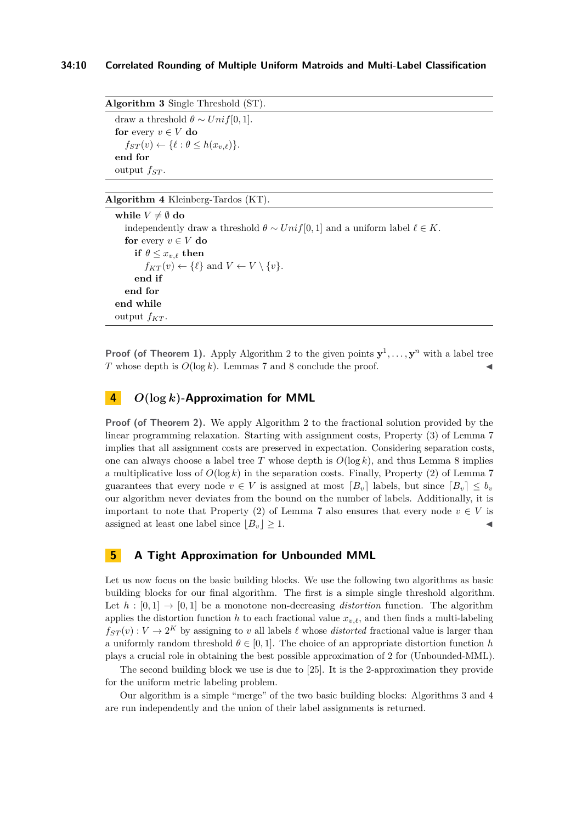**Algorithm 3** Single Threshold (ST). draw a threshold  $\theta \sim Unif[0, 1]$ . **for** every  $v \in V$  **do**  $f_{ST}(v) \leftarrow {\{\ell : \theta \leq h(x_{v,\ell})\}}.$ **end for** output *fST* .

### <span id="page-9-0"></span>**Algorithm 4** Kleinberg-Tardos (KT).

**while**  $V \neq \emptyset$  **do** independently draw a threshold  $\theta \sim Unif[0,1]$  and a uniform label  $\ell \in K$ . **for** every  $v \in V$  **do if**  $\theta \leq x_{v,\ell}$  **then**  $f_{KT}(v) \leftarrow {\{\ell\}}$  and  $V \leftarrow V \setminus \{v\}.$ **end if end for end while** output  $f_{KT}$ .

<span id="page-9-1"></span>**Proof (of Theorem [1\)](#page-3-1).** Apply Algorithm [2](#page-8-0) to the given points  $y^1, \ldots, y^n$  with a label tree *T* whose depth is  $O(\log k)$ . Lemmas [7](#page-7-1) and [8](#page-8-1) conclude the proof.

### **4** *O***(log** *k***)-Approximation for MML**

**Proof (of Theorem [2\)](#page-3-2).** We apply Algorithm [2](#page-8-0) to the fractional solution provided by the linear programming relaxation. Starting with assignment costs, Property [\(3\)](#page-7-2) of Lemma [7](#page-7-1) implies that all assignment costs are preserved in expectation. Considering separation costs, one can always choose a label tree *T* whose depth is  $O(\log k)$ , and thus Lemma [8](#page-8-1) implies a multiplicative loss of  $O(\log k)$  in the separation costs. Finally, Property [\(2\)](#page-7-3) of Lemma [7](#page-7-1) guarantees that every node  $v \in V$  is assigned at most  $\lceil B_v \rceil$  labels, but since  $\lceil B_v \rceil \leq b_v$ our algorithm never deviates from the bound on the number of labels. Additionally, it is important to note that Property [\(2\)](#page-7-3) of Lemma [7](#page-7-1) also ensures that every node  $v \in V$  is assigned at least one label since  $|B_v| \geq 1$ .

### **5 A Tight Approximation for Unbounded MML**

Let us now focus on the basic building blocks. We use the following two algorithms as basic building blocks for our final algorithm. The first is a simple single threshold algorithm. Let  $h : [0,1] \rightarrow [0,1]$  be a monotone non-decreasing *distortion* function. The algorithm applies the distortion function *h* to each fractional value  $x_{v,\ell}$ , and then finds a multi-labeling  $f_{ST}(v): V \to 2^K$  by assigning to *v* all labels  $\ell$  whose *distorted* fractional value is larger than a uniformly random threshold  $\theta \in [0, 1]$ . The choice of an appropriate distortion function *h* plays a crucial role in obtaining the best possible approximation of 2 for (Unbounded-MML).

The second building block we use is due to [\[25\]](#page-13-5). It is the 2-approximation they provide for the uniform metric labeling problem.

Our algorithm is a simple "merge" of the two basic building blocks: Algorithms [3](#page-9-0) and [4](#page-9-1) are run independently and the union of their label assignments is returned.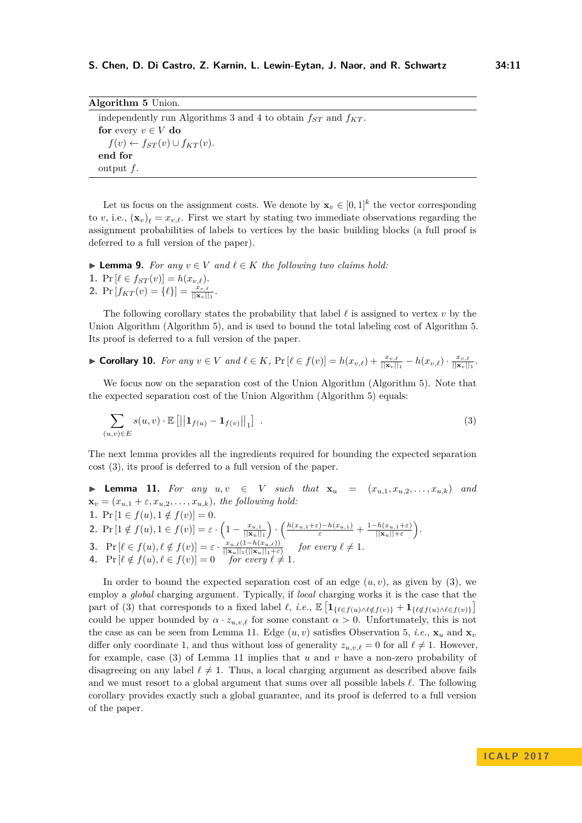<span id="page-10-0"></span>

| <b>Algorithm 5</b> Union.                                              |  |
|------------------------------------------------------------------------|--|
| independently run Algorithms 3 and 4 to obtain $f_{ST}$ and $f_{KT}$ . |  |
| for every $v \in V$ do                                                 |  |
| $f(v) \leftarrow f_{ST}(v) \cup f_{KT}(v).$                            |  |
| end for                                                                |  |
| output $f$ .                                                           |  |

Let us focus on the assignment costs. We denote by  $\mathbf{x}_v \in [0,1]^k$  the vector corresponding to *v*, i.e.,  $(\mathbf{x}_v)_\ell = x_{v,\ell}$ . First we start by stating two immediate observations regarding the assignment probabilities of labels to vertices by the basic building blocks (a full proof is deferred to a full version of the paper).

▶ **Lemma 9.** *For any*  $v \in V$  *and*  $\ell \in K$  *the following two claims hold:* 1. Pr  $[\ell \in f_{ST}(v)] = h(x_{v,\ell}).$ **2.** Pr  $[f_{KT}(v) = \{\ell\}] = \frac{x_{v,\ell}}{||\mathbf{x}_v||_1}$ .

The following corollary states the probability that label  $\ell$  is assigned to vertex  $v$  by the Union Algorithm (Algorithm [5\)](#page-10-0), and is used to bound the total labeling cost of Algorithm [5.](#page-10-0) Its proof is deferred to a full version of the paper.

<span id="page-10-4"></span>► Corollary 10. For any  $v \in V$  and  $\ell \in K$ ,  $\Pr[\ell \in f(v)] = h(x_{v,\ell}) + \frac{x_{v,\ell}}{||\mathbf{x}_v||_1} - h(x_{v,\ell}) \cdot \frac{x_{v,\ell}}{||\mathbf{x}_v||_1}$  $\frac{x_{v,\ell}}{||\mathbf{x}_{v}||_1}$ .

We focus now on the separation cost of the Union Algorithm (Algorithm [5\)](#page-10-0). Note that the expected separation cost of the Union Algorithm (Algorithm [5\)](#page-10-0) equals:

<span id="page-10-1"></span>
$$
\sum_{(u,v)\in E} s(u,v) \cdot \mathbb{E}\left[ \left\| \mathbf{1}_{f(u)} - \mathbf{1}_{f(v)} \right\|_{1} \right] \tag{3}
$$

The next lemma provides all the ingredients required for bounding the expected separation cost [\(3\)](#page-10-1), its proof is deferred to a full version of the paper.

<span id="page-10-2"></span>▶ **Lemma 11.** *For any*  $u, v \in V$  *such that*  $\mathbf{x}_u = (x_{u,1}, x_{u,2}, \ldots, x_{u,k})$  *and*  $\mathbf{x}_v = (x_{u,1} + \varepsilon, x_{u,2}, \dots, x_{u,k})$ , the following hold: **1.** Pr  $[1 \in f(u), 1 \notin f(v)] = 0$ . **2.** Pr  $[1 \notin f(u), 1 \in f(v)] = \varepsilon \cdot (1 - \frac{x_{u,1}}{||\mathbf{x}||})$  $\frac{x_{u,1}}{||\mathbf{x}_u||_1}$ )  $\cdot$   $\left(\frac{h(x_{u,1}+\varepsilon)-h(x_{u,1})}{\varepsilon} + \frac{1-h(x_{u,1}+\varepsilon)}{||\mathbf{x}_u||+\varepsilon}\right)$  $\frac{-h(x_{u,1}+\varepsilon)}{||\mathbf{x}_u||+\varepsilon}$ . **3.** Pr  $[\ell \in f(u), \ell \notin f(v)] = \varepsilon \cdot \frac{x_{u,\ell}(1-h(x_{u,\ell}))}{\|x\| \|\ell \|v\| \|\ell + \varepsilon}$  $\frac{x_{u,\ell}(1-n(x_{u,\ell}))}{\|\mathbf{x}_u\|_1(\|\mathbf{x}_u\|_1+\varepsilon)}$  *for every*  $\ell \neq 1$ *.* **4.** Pr  $[\ell \notin f(u), \ell \in f(v)] = 0$  *for every*  $\ell \neq 1$ *.* 

<span id="page-10-3"></span>In order to bound the expected separation cost of an edge  $(u, v)$ , as given by  $(3)$ , we employ a *global* charging argument. Typically, if *local* charging works it is the case that the part of [\(3\)](#page-10-1) that corresponds to a fixed label  $\ell$ , *i.e.*,  $\mathbb{E} \left[ \mathbf{1}_{\{\ell \in f(u) \wedge \ell \notin f(v)\}} + \mathbf{1}_{\{\ell \notin f(u) \wedge \ell \in f(v)\}} \right]$ could be upper bounded by  $\alpha \cdot z_{u,v,\ell}$  for some constant  $\alpha > 0$ . Unfortunately, this is not the case as can be seen from Lemma [11.](#page-10-2) Edge  $(u, v)$  satisfies Observation [5,](#page-6-1) *i.e.*,  $\mathbf{x}_u$  and  $\mathbf{x}_v$ differ only coordinate 1, and thus without loss of generality  $z_{u,v,\ell} = 0$  for all  $\ell \neq 1$ . However, for example, case [\(3\)](#page-10-3) of Lemma [11](#page-10-2) implies that *u* and *v* have a non-zero probability of disagreeing on any label  $\ell \neq 1$ . Thus, a local charging argument as described above fails and we must resort to a global argument that sums over all possible labels  $\ell$ . The following corollary provides exactly such a global guarantee, and its proof is deferred to a full version of the paper.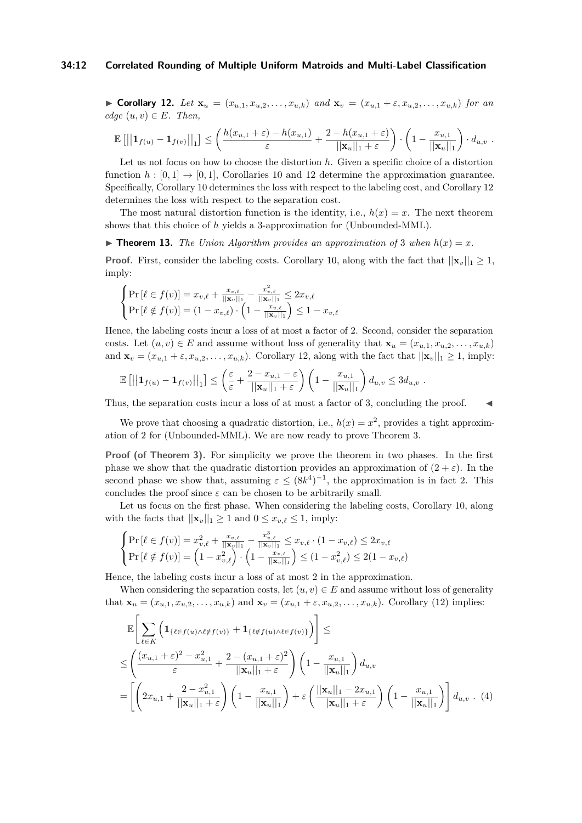#### **34:12 Correlated Rounding of Multiple Uniform Matroids and Multi-Label Classification**

<span id="page-11-0"></span>► Corollary 12. Let  $\mathbf{x}_u = (x_{u,1}, x_{u,2}, \ldots, x_{u,k})$  and  $\mathbf{x}_v = (x_{u,1} + \varepsilon, x_{u,2}, \ldots, x_{u,k})$  for an  $edge (u, v) \in E$ *. Then,* 

$$
\mathbb{E}\left[\left|\left|\mathbf{1}_{f(u)}-\mathbf{1}_{f(v)}\right|\right|_{1}\right] \leq \left(\frac{h(x_{u,1}+\varepsilon)-h(x_{u,1})}{\varepsilon}+\frac{2-h(x_{u,1}+\varepsilon)}{||\mathbf{x}_{u}||_{1}+\varepsilon}\right)\cdot\left(1-\frac{x_{u,1}}{||\mathbf{x}_{u}||_{1}}\right)\cdot d_{u,v}.
$$

Let us not focus on how to choose the distortion *h*. Given a specific choice of a distortion function  $h : [0, 1] \rightarrow [0, 1]$ , Corollaries [10](#page-10-4) and [12](#page-11-0) determine the approximation guarantee. Specifically, Corollary [10](#page-10-4) determines the loss with respect to the labeling cost, and Corollary [12](#page-11-0) determines the loss with respect to the separation cost.

The most natural distortion function is the identity, i.e.,  $h(x) = x$ . The next theorem shows that this choice of *h* yields a 3-approximation for (Unbounded-MML).

 $\triangleright$  **Theorem 13.** The Union Algorithm provides an approximation of 3 when  $h(x) = x$ .

**Proof.** First, consider the labeling costs. Corollary [10,](#page-10-4) along with the fact that  $||\mathbf{x}_v||_1 \geq 1$ , imply:

$$
\begin{cases}\Pr\left[\ell \in f(v)\right] = x_{v,\ell} + \frac{x_{v,\ell}}{||\mathbf{x}_v||_1} - \frac{x_{v,\ell}^2}{||\mathbf{x}_v||_1} \le 2x_{v,\ell} \\
\Pr\left[\ell \notin f(v)\right] = (1 - x_{v,\ell}) \cdot \left(1 - \frac{x_{v,\ell}}{||\mathbf{x}_v||_1}\right) \le 1 - x_{v,\ell}\n\end{cases}
$$

Hence, the labeling costs incur a loss of at most a factor of 2. Second, consider the separation costs. Let  $(u, v) \in E$  and assume without loss of generality that  $\mathbf{x}_u = (x_{u,1}, x_{u,2}, \ldots, x_{u,k})$ and  $\mathbf{x}_v = (x_{u,1} + \varepsilon, x_{u,2}, \dots, x_{u,k})$ . Corollary [12,](#page-11-0) along with the fact that  $||\mathbf{x}_v||_1 \geq 1$ , imply:

$$
\mathbb{E}\left[\left|\left|\mathbf{1}_{f(u)}-\mathbf{1}_{f(v)}\right|\right|_{1}\right] \leq \left(\frac{\varepsilon}{\varepsilon}+\frac{2-x_{u,1}-\varepsilon}{||\mathbf{x}_{u}||_{1}+\varepsilon}\right)\left(1-\frac{x_{u,1}}{||\mathbf{x}_{u}||_{1}}\right)d_{u,v} \leq 3d_{u,v}.
$$

Thus, the separation costs incur a loss of at most a factor of 3, concluding the proof.  $\blacksquare$ 

We prove that choosing a quadratic distortion, i.e.,  $h(x) = x^2$ , provides a tight approximation of 2 for (Unbounded-MML). We are now ready to prove Theorem [3.](#page-3-3)

**Proof (of Theorem [3\)](#page-3-3).** For simplicity we prove the theorem in two phases. In the first phase we show that the quadratic distortion provides an approximation of  $(2 + \varepsilon)$ . In the second phase we show that, assuming  $\varepsilon \leq (8k^4)^{-1}$ , the approximation is in fact 2. This concludes the proof since  $\varepsilon$  can be chosen to be arbitrarily small.

Let us focus on the first phase. When considering the labeling costs, Corollary [10,](#page-10-4) along with the facts that  $||\mathbf{x}_v||_1 \geq 1$  and  $0 \leq x_{v,\ell} \leq 1$ , imply:

$$
\begin{cases}\Pr\left[\ell \in f(v)\right] = x_{v,\ell}^2 + \frac{x_{v,\ell}}{||\mathbf{x}_v||_1} - \frac{x_{v,\ell}^3}{||\mathbf{x}_v||_1} \le x_{v,\ell} \cdot (1 - x_{v,\ell}) \le 2x_{v,\ell} \\
\Pr\left[\ell \notin f(v)\right] = \left(1 - x_{v,\ell}^2\right) \cdot \left(1 - \frac{x_{v,\ell}}{||\mathbf{x}_v||_1}\right) \le (1 - x_{v,\ell}^2) \le 2(1 - x_{v,\ell})\n\end{cases}
$$

Hence, the labeling costs incur a loss of at most 2 in the approximation.

When considering the separation costs, let  $(u, v) \in E$  and assume without loss of generality that  $\mathbf{x}_u = (x_{u,1}, x_{u,2}, \dots, x_{u,k})$  and  $\mathbf{x}_v = (x_{u,1} + \varepsilon, x_{u,2}, \dots, x_{u,k})$ . Corollary [\(12\)](#page-11-0) implies:

<span id="page-11-1"></span>
$$
\mathbb{E}\left[\sum_{\ell\in K} \left( \mathbf{1}_{\{\ell \in f(u) \wedge \ell \notin f(v)\}} + \mathbf{1}_{\{\ell \notin f(u) \wedge \ell \in f(v)\}} \right) \right] \le
$$
\n
$$
\leq \left( \frac{(x_{u,1} + \varepsilon)^2 - x_{u,1}^2}{\varepsilon} + \frac{2 - (x_{u,1} + \varepsilon)^2}{||\mathbf{x}_u||_1 + \varepsilon} \right) \left( 1 - \frac{x_{u,1}}{||\mathbf{x}_u||_1} \right) d_{u,v}
$$
\n
$$
= \left[ \left( 2x_{u,1} + \frac{2 - x_{u,1}^2}{||\mathbf{x}_u||_1 + \varepsilon} \right) \left( 1 - \frac{x_{u,1}}{||\mathbf{x}_u||_1} \right) + \varepsilon \left( \frac{||\mathbf{x}_u||_1 - 2x_{u,1}}{|\mathbf{x}_u||_1 + \varepsilon} \right) \left( 1 - \frac{x_{u,1}}{||\mathbf{x}_u||_1} \right) \right] d_{u,v} \quad (4)
$$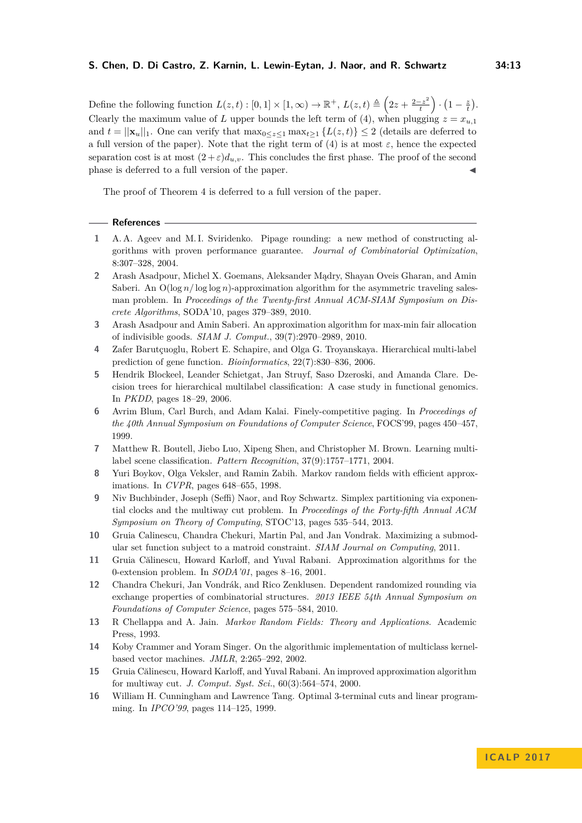Define the following function  $L(z,t): [0,1] \times [1,\infty) \to \mathbb{R}^+$ ,  $L(z,t) \triangleq \left(2z + \frac{2-z^2}{t}\right)$  $\left(\frac{-z^2}{t}\right)\cdot\left(1-\frac{z}{t}\right).$ Clearly the maximum value of *L* upper bounds the left term of [\(4\)](#page-11-1), when plugging  $z = x_{u,1}$ and  $t = ||\mathbf{x}_u||_1$ . One can verify that  $\max_{0 \leq z \leq 1} \max_{t \geq 1} \{L(z, t)\} \leq 2$  (details are deferred to a full version of the paper). Note that the right term of [\(4\)](#page-11-1) is at most  $\varepsilon$ , hence the expected separation cost is at most  $(2+\varepsilon)d_{u,v}$ . This concludes the first phase. The proof of the second phase is deferred to a full version of the paper.

The proof of Theorem [4](#page-3-4) is deferred to a full version of the paper.

### **References**

- <span id="page-12-0"></span>**1** A. A. Ageev and M. I. Sviridenko. Pipage rounding: a new method of constructing algorithms with proven performance guarantee. *Journal of Combinatorial Optimization*, 8:307–328, 2004.
- <span id="page-12-1"></span>**2** Arash Asadpour, Michel X. Goemans, Aleksander Mądry, Shayan Oveis Gharan, and Amin Saberi. An  $O(\log n / \log \log n)$ -approximation algorithm for the asymmetric traveling salesman problem. In *Proceedings of the Twenty-first Annual ACM-SIAM Symposium on Discrete Algorithms*, SODA'10, pages 379–389, 2010.
- <span id="page-12-8"></span>**3** Arash Asadpour and Amin Saberi. An approximation algorithm for max-min fair allocation of indivisible goods. *SIAM J. Comput.*, 39(7):2970–2989, 2010.
- <span id="page-12-5"></span>**4** Zafer Barutçuoglu, Robert E. Schapire, and Olga G. Troyanskaya. Hierarchical multi-label prediction of gene function. *Bioinformatics*, 22(7):830–836, 2006.
- <span id="page-12-6"></span>**5** Hendrik Blockeel, Leander Schietgat, Jan Struyf, Saso Dzeroski, and Amanda Clare. Decision trees for hierarchical multilabel classification: A case study in functional genomics. In *PKDD*, pages 18–29, 2006.
- <span id="page-12-7"></span>**6** Avrim Blum, Carl Burch, and Adam Kalai. Finely-competitive paging. In *Proceedings of the 40th Annual Symposium on Foundations of Computer Science*, FOCS'99, pages 450–457, 1999.
- <span id="page-12-4"></span>**7** Matthew R. Boutell, Jiebo Luo, Xipeng Shen, and Christopher M. Brown. Learning multilabel scene classification. *Pattern Recognition*, 37(9):1757–1771, 2004.
- <span id="page-12-11"></span>**8** Yuri Boykov, Olga Veksler, and Ramin Zabih. Markov random fields with efficient approximations. In *CVPR*, pages 648–655, 1998.
- <span id="page-12-12"></span>**9** Niv Buchbinder, Joseph (Seffi) Naor, and Roy Schwartz. Simplex partitioning via exponential clocks and the multiway cut problem. In *Proceedings of the Forty-fifth Annual ACM Symposium on Theory of Computing*, STOC'13, pages 535–544, 2013.
- <span id="page-12-2"></span>**10** Gruia Calinescu, Chandra Chekuri, Martin Pal, and Jan Vondrak. Maximizing a submodular set function subject to a matroid constraint. *SIAM Journal on Computing*, 2011.
- <span id="page-12-15"></span>**11** Gruia Călinescu, Howard Karloff, and Yuval Rabani. Approximation algorithms for the 0-extension problem. In *SODA'01*, pages 8–16, 2001.
- <span id="page-12-3"></span>**12** Chandra Chekuri, Jan Vondrák, and Rico Zenklusen. Dependent randomized rounding via exchange properties of combinatorial structures. *2013 IEEE 54th Annual Symposium on Foundations of Computer Science*, pages 575–584, 2010.
- <span id="page-12-10"></span>**13** R Chellappa and A. Jain. *Markov Random Fields: Theory and Applications*. Academic Press, 1993.
- <span id="page-12-9"></span>**14** Koby Crammer and Yoram Singer. On the algorithmic implementation of multiclass kernelbased vector machines. *JMLR*, 2:265–292, 2002.
- <span id="page-12-13"></span>**15** Gruia Călinescu, Howard Karloff, and Yuval Rabani. An improved approximation algorithm for multiway cut. *J. Comput. Syst. Sci.*, 60(3):564–574, 2000.
- <span id="page-12-14"></span>**16** William H. Cunningham and Lawrence Tang. Optimal 3-terminal cuts and linear programming. In *IPCO'99*, pages 114–125, 1999.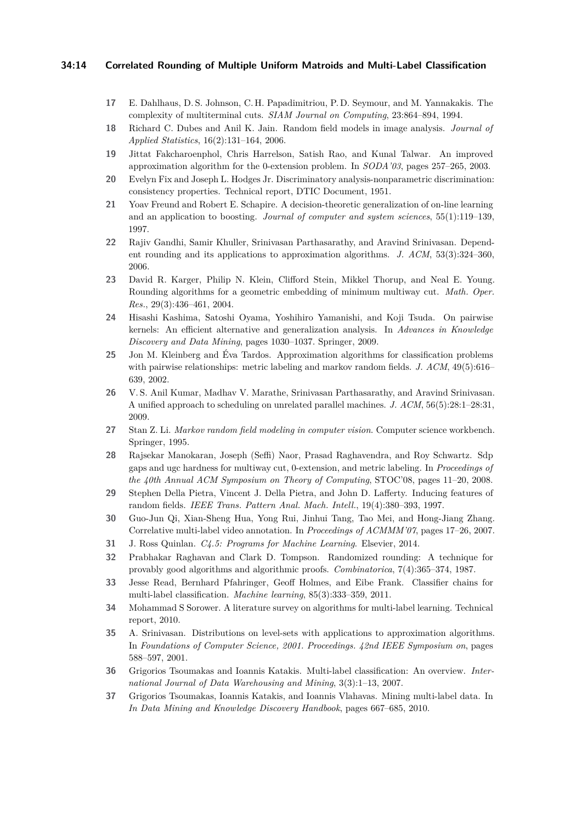### **34:14 Correlated Rounding of Multiple Uniform Matroids and Multi-Label Classification**

- <span id="page-13-18"></span>**17** E. Dahlhaus, D. S. Johnson, C. H. Papadimitriou, P. D. Seymour, and M. Yannakakis. The complexity of multiterminal cuts. *SIAM Journal on Computing*, 23:864–894, 1994.
- <span id="page-13-15"></span>**18** Richard C. Dubes and Anil K. Jain. Random field models in image analysis. *Journal of Applied Statistics*, 16(2):131–164, 2006.
- <span id="page-13-20"></span>**19** Jittat Fakcharoenphol, Chris Harrelson, Satish Rao, and Kunal Talwar. An improved approximation algorithm for the 0-extension problem. In *SODA'03*, pages 257–265, 2003.
- <span id="page-13-11"></span>**20** Evelyn Fix and Joseph L. Hodges Jr. Discriminatory analysis-nonparametric discrimination: consistency properties. Technical report, DTIC Document, 1951.
- <span id="page-13-10"></span>**21** Yoav Freund and Robert E. Schapire. A decision-theoretic generalization of on-line learning and an application to boosting. *Journal of computer and system sciences*, 55(1):119–139, 1997.
- <span id="page-13-1"></span>**22** Rajiv Gandhi, Samir Khuller, Srinivasan Parthasarathy, and Aravind Srinivasan. Dependent rounding and its applications to approximation algorithms. *J. ACM*, 53(3):324–360, 2006.
- <span id="page-13-19"></span>**23** David R. Karger, Philip N. Klein, Clifford Stein, Mikkel Thorup, and Neal E. Young. Rounding algorithms for a geometric embedding of minimum multiway cut. *Math. Oper. Res.*, 29(3):436–461, 2004.
- <span id="page-13-13"></span>**24** Hisashi Kashima, Satoshi Oyama, Yoshihiro Yamanishi, and Koji Tsuda. On pairwise kernels: An efficient alternative and generalization analysis. In *Advances in Knowledge Discovery and Data Mining*, pages 1030–1037. Springer, 2009.
- <span id="page-13-5"></span>**25** Jon M. Kleinberg and Éva Tardos. Approximation algorithms for classification problems with pairwise relationships: metric labeling and markov random fields. *J. ACM*, 49(5):616– 639, 2002.
- <span id="page-13-2"></span>**26** V. S. Anil Kumar, Madhav V. Marathe, Srinivasan Parthasarathy, and Aravind Srinivasan. A unified approach to scheduling on unrelated parallel machines. *J. ACM*, 56(5):28:1–28:31, 2009.
- <span id="page-13-14"></span>**27** Stan Z. Li. *Markov random field modeling in computer vision*. Computer science workbench. Springer, 1995.
- <span id="page-13-17"></span>**28** Rajsekar Manokaran, Joseph (Seffi) Naor, Prasad Raghavendra, and Roy Schwartz. Sdp gaps and ugc hardness for multiway cut, 0-extension, and metric labeling. In *Proceedings of the 40th Annual ACM Symposium on Theory of Computing*, STOC'08, pages 11–20, 2008.
- <span id="page-13-16"></span>**29** Stephen Della Pietra, Vincent J. Della Pietra, and John D. Lafferty. Inducing features of random fields. *IEEE Trans. Pattern Anal. Mach. Intell.*, 19(4):380–393, 1997.
- <span id="page-13-4"></span>**30** Guo-Jun Qi, Xian-Sheng Hua, Yong Rui, Jinhui Tang, Tao Mei, and Hong-Jiang Zhang. Correlative multi-label video annotation. In *Proceedings of ACMMM'07*, pages 17–26, 2007.
- <span id="page-13-12"></span>**31** J. Ross Quinlan. *C4.5: Programs for Machine Learning*. Elsevier, 2014.
- <span id="page-13-0"></span>**32** Prabhakar Raghavan and Clark D. Tompson. Randomized rounding: A technique for provably good algorithms and algorithmic proofs. *Combinatorica*, 7(4):365–374, 1987.
- <span id="page-13-9"></span>**33** Jesse Read, Bernhard Pfahringer, Geoff Holmes, and Eibe Frank. Classifier chains for multi-label classification. *Machine learning*, 85(3):333–359, 2011.
- <span id="page-13-7"></span>**34** Mohammad S Sorower. A literature survey on algorithms for multi-label learning. Technical report, 2010.
- <span id="page-13-3"></span>**35** A. Srinivasan. Distributions on level-sets with applications to approximation algorithms. In *Foundations of Computer Science, 2001. Proceedings. 42nd IEEE Symposium on*, pages 588–597, 2001.
- <span id="page-13-8"></span>**36** Grigorios Tsoumakas and Ioannis Katakis. Multi-label classification: An overview. *International Journal of Data Warehousing and Mining*, 3(3):1–13, 2007.
- <span id="page-13-6"></span>**37** Grigorios Tsoumakas, Ioannis Katakis, and Ioannis Vlahavas. Mining multi-label data. In *In Data Mining and Knowledge Discovery Handbook*, pages 667–685, 2010.